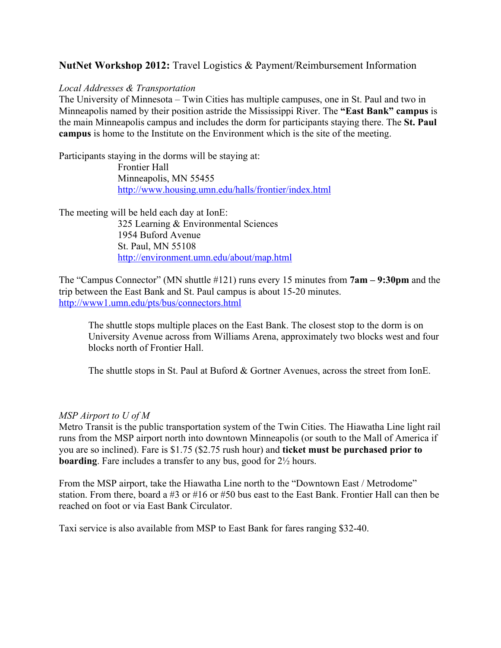# **NutNet Workshop 2012:** Travel Logistics & Payment/Reimbursement Information

#### *Local Addresses & Transportation*

The University of Minnesota – Twin Cities has multiple campuses, one in St. Paul and two in Minneapolis named by their position astride the Mississippi River. The **"East Bank" campus** is the main Minneapolis campus and includes the dorm for participants staying there. The **St. Paul campus** is home to the Institute on the Environment which is the site of the meeting.

Participants staying in the dorms will be staying at:

Frontier Hall Minneapolis, MN 55455 http://www.housing.umn.edu/halls/frontier/index.html

The meeting will be held each day at IonE:

325 Learning & Environmental Sciences 1954 Buford Avenue St. Paul, MN 55108 http://environment.umn.edu/about/map.html

The "Campus Connector" (MN shuttle #121) runs every 15 minutes from **7am – 9:30pm** and the trip between the East Bank and St. Paul campus is about 15-20 minutes. http://www1.umn.edu/pts/bus/connectors.html

The shuttle stops multiple places on the East Bank. The closest stop to the dorm is on University Avenue across from Williams Arena, approximately two blocks west and four blocks north of Frontier Hall.

The shuttle stops in St. Paul at Buford & Gortner Avenues, across the street from IonE.

#### *MSP Airport to U of M*

Metro Transit is the public transportation system of the Twin Cities. The Hiawatha Line light rail runs from the MSP airport north into downtown Minneapolis (or south to the Mall of America if you are so inclined). Fare is \$1.75 (\$2.75 rush hour) and **ticket must be purchased prior to boarding**. Fare includes a transfer to any bus, good for  $2\frac{1}{2}$  hours.

From the MSP airport, take the Hiawatha Line north to the "Downtown East / Metrodome" station. From there, board a #3 or #16 or #50 bus east to the East Bank. Frontier Hall can then be reached on foot or via East Bank Circulator.

Taxi service is also available from MSP to East Bank for fares ranging \$32-40.